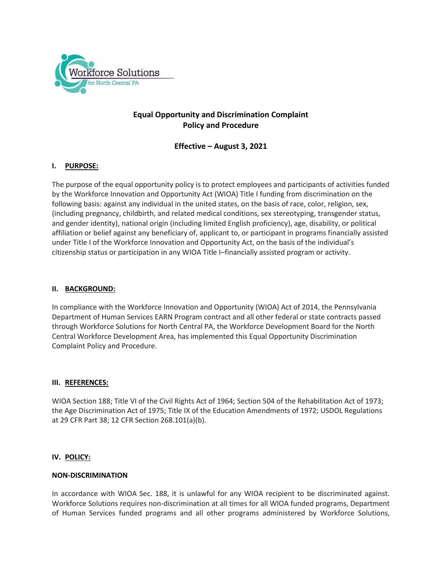

# **Equal Opportunity and Discrimination Complaint Policy and Procedure**

# **Effective – August 3, 2021**

# **I. PURPOSE:**

The purpose of the equal opportunity policy is to protect employees and participants of activities funded by the Workforce Innovation and Opportunity Act (WIOA) Title I funding from discrimination on the following basis: against any individual in the united states, on the basis of race, color, religion, sex, (including pregnancy, childbirth, and related medical conditions, sex stereotyping, transgender status, and gender identity), national origin (including limited English proficiency), age, disability, or political affiliation or belief against any beneficiary of, applicant to, or participant in programs financially assisted under Title I of the Workforce Innovation and Opportunity Act, on the basis of the individual's citizenship status or participation in any WIOA Title I–financially assisted program or activity.

# **II. BACKGROUND:**

In compliance with the Workforce Innovation and Opportunity (WIOA) Act of 2014, the Pennsylvania Department of Human Services EARN Program contract and all other federal or state contracts passed through Workforce Solutions for North Central PA, the Workforce Development Board for the North Central Workforce Development Area, has implemented this Equal Opportunity Discrimination Complaint Policy and Procedure.

## **III. REFERENCES:**

WIOA Section 188; Title VI of the Civil Rights Act of 1964; Section 504 of the Rehabilitation Act of 1973; the Age Discrimination Act of 1975; Title IX of the Education Amendments of 1972; USDOL Regulations at 29 CFR Part 38; 12 CFR Section 268.101(a)(b).

## **IV. POLICY:**

## **NON-DISCRIMINATION**

In accordance with WIOA Sec. 188, it is unlawful for any WIOA recipient to be discriminated against. Workforce Solutions requires non-discrimination at all times for all WIOA funded programs, Department of Human Services funded programs and all other programs administered by Workforce Solutions,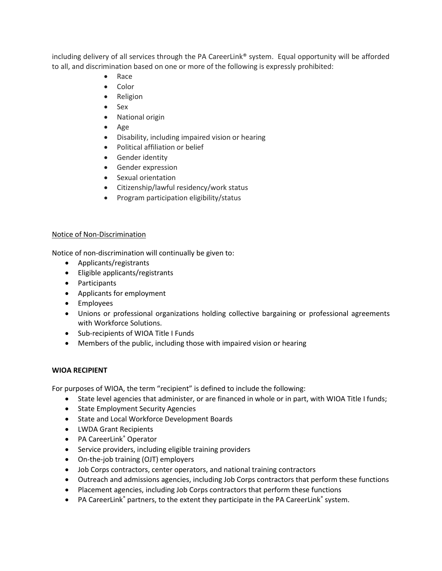including delivery of all services through the PA CareerLink® system. Equal opportunity will be afforded to all, and discrimination based on one or more of the following is expressly prohibited:

- Race
- Color
- Religion
- Sex
- National origin
- Age
- Disability, including impaired vision or hearing
- Political affiliation or belief
- **•** Gender identity
- Gender expression
- Sexual orientation
- Citizenship/lawful residency/work status
- Program participation eligibility/status

## Notice of Non-Discrimination

Notice of non-discrimination will continually be given to:

- Applicants/registrants
- Eligible applicants/registrants
- Participants
- Applicants for employment
- Employees
- Unions or professional organizations holding collective bargaining or professional agreements with Workforce Solutions.
- Sub-recipients of WIOA Title I Funds
- Members of the public, including those with impaired vision or hearing

## **WIOA RECIPIENT**

For purposes of WIOA, the term "recipient" is defined to include the following:

- State level agencies that administer, or are financed in whole or in part, with WIOA Title I funds;
- State Employment Security Agencies
- **•** State and Local Workforce Development Boards
- LWDA Grant Recipients
- PA CareerLink® Operator
- Service providers, including eligible training providers
- On-the-job training (OJT) employers
- Job Corps contractors, center operators, and national training contractors
- Outreach and admissions agencies, including Job Corps contractors that perform these functions
- Placement agencies, including Job Corps contractors that perform these functions
- PA CareerLink® partners, to the extent they participate in the PA CareerLink® system.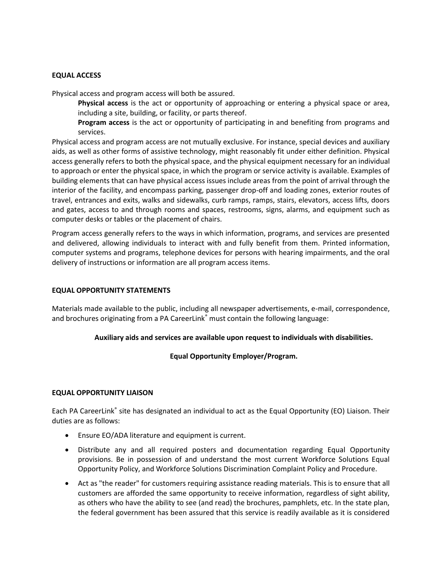## **EQUAL ACCESS**

Physical access and program access will both be assured.

**Physical access** is the act or opportunity of approaching or entering a physical space or area, including a site, building, or facility, or parts thereof.

**Program access** is the act or opportunity of participating in and benefiting from programs and services.

Physical access and program access are not mutually exclusive. For instance, special devices and auxiliary aids, as well as other forms of assistive technology, might reasonably fit under either definition. Physical access generally refers to both the physical space, and the physical equipment necessary for an individual to approach or enter the physical space, in which the program or service activity is available. Examples of building elements that can have physical access issues include areas from the point of arrival through the interior of the facility, and encompass parking, passenger drop-off and loading zones, exterior routes of travel, entrances and exits, walks and sidewalks, curb ramps, ramps, stairs, elevators, access lifts, doors and gates, access to and through rooms and spaces, restrooms, signs, alarms, and equipment such as computer desks or tables or the placement of chairs.

Program access generally refers to the ways in which information, programs, and services are presented and delivered, allowing individuals to interact with and fully benefit from them. Printed information, computer systems and programs, telephone devices for persons with hearing impairments, and the oral delivery of instructions or information are all program access items.

#### **EQUAL OPPORTUNITY STATEMENTS**

Materials made available to the public, including all newspaper advertisements, e-mail, correspondence, and brochures originating from a PA CareerLink® must contain the following language:

## **Auxiliary aids and services are available upon request to individuals with disabilities.**

## **Equal Opportunity Employer/Program.**

#### **EQUAL OPPORTUNITY LIAISON**

Each PA CareerLink® site has designated an individual to act as the Equal Opportunity (EO) Liaison. Their duties are as follows:

- Ensure EO/ADA literature and equipment is current.
- Distribute any and all required posters and documentation regarding Equal Opportunity provisions. Be in possession of and understand the most current Workforce Solutions Equal Opportunity Policy, and Workforce Solutions Discrimination Complaint Policy and Procedure.
- Act as "the reader" for customers requiring assistance reading materials. This is to ensure that all customers are afforded the same opportunity to receive information, regardless of sight ability, as others who have the ability to see (and read) the brochures, pamphlets, etc. In the state plan, the federal government has been assured that this service is readily available as it is considered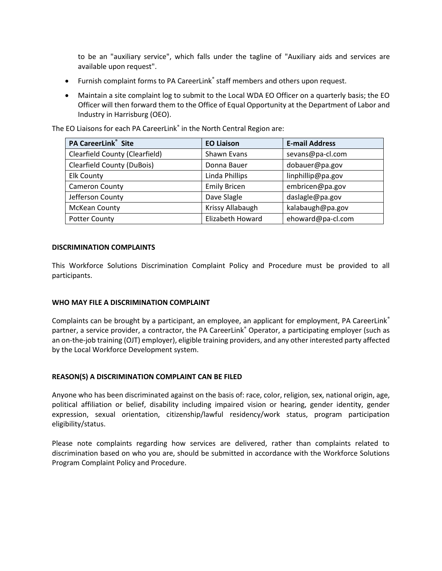to be an "auxiliary service", which falls under the tagline of "Auxiliary aids and services are available upon request".

- Furnish complaint forms to PA CareerLink<sup>®</sup> staff members and others upon request.
- Maintain a site complaint log to submit to the Local WDA EO Officer on a quarterly basis; the EO Officer will then forward them to the Office of Equal Opportunity at the Department of Labor and Industry in Harrisburg (OEO).

The EO Liaisons for each PA CareerLink<sup>®</sup> in the North Central Region are:

| <b>PA CareerLink<sup>®</sup></b> Site | <b>EO Liaison</b>       | <b>E-mail Address</b> |
|---------------------------------------|-------------------------|-----------------------|
| <b>Clearfield County (Clearfield)</b> | Shawn Evans             | sevans@pa-cl.com      |
| <b>Clearfield County (DuBois)</b>     | Donna Bauer             | dobauer@pa.gov        |
| <b>Elk County</b>                     | Linda Phillips          | linphillip@pa.gov     |
| <b>Cameron County</b>                 | <b>Emily Bricen</b>     | embricen@pa.gov       |
| Jefferson County                      | Dave Slagle             | daslagle@pa.gov       |
| McKean County                         | Krissy Allabaugh        | kalabaugh@pa.gov      |
| <b>Potter County</b>                  | <b>Elizabeth Howard</b> | ehoward@pa-cl.com     |

## **DISCRIMINATION COMPLAINTS**

This Workforce Solutions Discrimination Complaint Policy and Procedure must be provided to all participants.

## **WHO MAY FILE A DISCRIMINATION COMPLAINT**

Complaints can be brought by a participant, an employee, an applicant for employment, PA CareerLink® partner, a service provider, a contractor, the PA CareerLink® Operator, a participating employer (such as an on-the-job training (OJT) employer), eligible training providers, and any other interested party affected by the Local Workforce Development system.

#### **REASON(S) A DISCRIMINATION COMPLAINT CAN BE FILED**

Anyone who has been discriminated against on the basis of: race, color, religion, sex, national origin, age, political affiliation or belief, disability including impaired vision or hearing, gender identity, gender expression, sexual orientation, citizenship/lawful residency/work status, program participation eligibility/status.

Please note complaints regarding how services are delivered, rather than complaints related to discrimination based on who you are, should be submitted in accordance with the Workforce Solutions Program Complaint Policy and Procedure.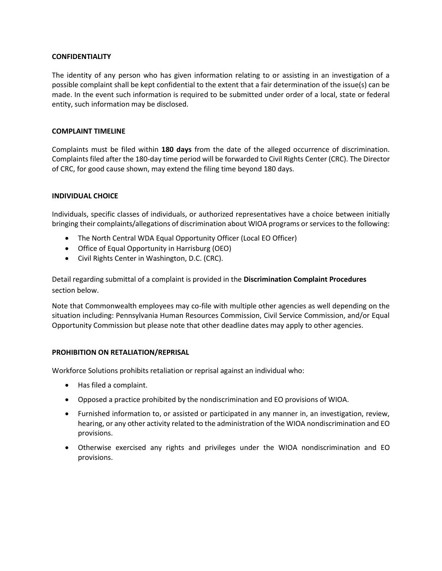#### **CONFIDENTIALITY**

The identity of any person who has given information relating to or assisting in an investigation of a possible complaint shall be kept confidential to the extent that a fair determination of the issue(s) can be made. In the event such information is required to be submitted under order of a local, state or federal entity, such information may be disclosed.

#### **COMPLAINT TIMELINE**

Complaints must be filed within **180 days** from the date of the alleged occurrence of discrimination. Complaints filed after the 180-day time period will be forwarded to Civil Rights Center (CRC). The Director of CRC, for good cause shown, may extend the filing time beyond 180 days.

## **INDIVIDUAL CHOICE**

Individuals, specific classes of individuals, or authorized representatives have a choice between initially bringing their complaints/allegations of discrimination about WIOA programs or services to the following:

- The North Central WDA Equal Opportunity Officer (Local EO Officer)
- Office of Equal Opportunity in Harrisburg (OEO)
- Civil Rights Center in Washington, D.C. (CRC).

Detail regarding submittal of a complaint is provided in the **Discrimination Complaint Procedures** section below.

Note that Commonwealth employees may co-file with multiple other agencies as well depending on the situation including: Pennsylvania Human Resources Commission, Civil Service Commission, and/or Equal Opportunity Commission but please note that other deadline dates may apply to other agencies.

## **PROHIBITION ON RETALIATION/REPRISAL**

Workforce Solutions prohibits retaliation or reprisal against an individual who:

- Has filed a complaint.
- Opposed a practice prohibited by the nondiscrimination and EO provisions of WIOA.
- Furnished information to, or assisted or participated in any manner in, an investigation, review, hearing, or any other activity related to the administration of the WIOA nondiscrimination and EO provisions.
- Otherwise exercised any rights and privileges under the WIOA nondiscrimination and EO provisions.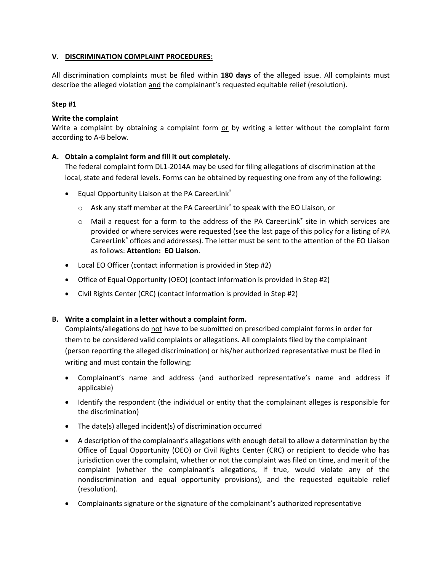## **V. DISCRIMINATION COMPLAINT PROCEDURES:**

All discrimination complaints must be filed within **180 days** of the alleged issue. All complaints must describe the alleged violation and the complainant's requested equitable relief (resolution).

# **Step #1**

## **Write the complaint**

Write a complaint by obtaining a complaint form or by writing a letter without the complaint form according to A-B below.

# **A. Obtain a complaint form and fill it out completely.**

The federal complaint form DL1-2014A may be used for filing allegations of discrimination at the local, state and federal levels. Forms can be obtained by requesting one from any of the following:

- **•** Equal Opportunity Liaison at the PA CareerLink®
	- $\circ$  Ask any staff member at the PA CareerLink<sup>®</sup> to speak with the EO Liaison, or
	- o Mail a request for a form to the address of the PA CareerLink<sup>®</sup> site in which services are provided or where services were requested (see the last page of this policy for a listing of PA CareerLink® offices and addresses). The letter must be sent to the attention of the EO Liaison as follows: **Attention: EO Liaison**.
- Local EO Officer (contact information is provided in Step #2)
- Office of Equal Opportunity (OEO) (contact information is provided in Step #2)
- Civil Rights Center (CRC) (contact information is provided in Step #2)

## **B. Write a complaint in a letter without a complaint form.**

Complaints/allegations do not have to be submitted on prescribed complaint forms in order for them to be considered valid complaints or allegations*.* All complaints filed by the complainant (person reporting the alleged discrimination) or his/her authorized representative must be filed in writing and must contain the following:

- Complainant's name and address (and authorized representative's name and address if applicable)
- Identify the respondent (the individual or entity that the complainant alleges is responsible for the discrimination)
- The date(s) alleged incident(s) of discrimination occurred
- A description of the complainant's allegations with enough detail to allow a determination by the Office of Equal Opportunity (OEO) or Civil Rights Center (CRC) or recipient to decide who has jurisdiction over the complaint, whether or not the complaint was filed on time, and merit of the complaint (whether the complainant's allegations, if true, would violate any of the nondiscrimination and equal opportunity provisions), and the requested equitable relief (resolution).
- Complainants signature or the signature of the complainant's authorized representative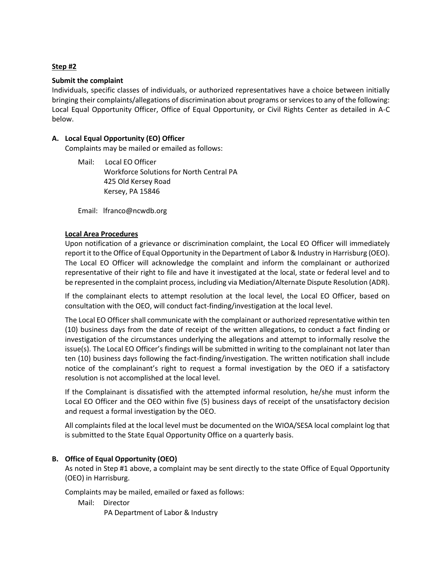# **Step #2**

#### **Submit the complaint**

Individuals, specific classes of individuals, or authorized representatives have a choice between initially bringing their complaints/allegations of discrimination about programs or services to any of the following: Local Equal Opportunity Officer, Office of Equal Opportunity, or Civil Rights Center as detailed in A-C below.

## **A. Local Equal Opportunity (EO) Officer**

Complaints may be mailed or emailed as follows:

Mail: Local EO Officer Workforce Solutions for North Central PA 425 Old Kersey Road Kersey, PA 15846

Email: lfranco@ncwdb.org

#### **Local Area Procedures**

Upon notification of a grievance or discrimination complaint, the Local EO Officer will immediately report it to the Office of Equal Opportunity in the Department of Labor & Industry in Harrisburg (OEO). The Local EO Officer will acknowledge the complaint and inform the complainant or authorized representative of their right to file and have it investigated at the local, state or federal level and to be represented in the complaint process, including via Mediation/Alternate Dispute Resolution (ADR).

If the complainant elects to attempt resolution at the local level, the Local EO Officer, based on consultation with the OEO, will conduct fact-finding/investigation at the local level.

The Local EO Officer shall communicate with the complainant or authorized representative within ten (10) business days from the date of receipt of the written allegations, to conduct a fact finding or investigation of the circumstances underlying the allegations and attempt to informally resolve the issue(s). The Local EO Officer's findings will be submitted in writing to the complainant not later than ten (10) business days following the fact-finding/investigation. The written notification shall include notice of the complainant's right to request a formal investigation by the OEO if a satisfactory resolution is not accomplished at the local level.

If the Complainant is dissatisfied with the attempted informal resolution, he/she must inform the Local EO Officer and the OEO within five (5) business days of receipt of the unsatisfactory decision and request a formal investigation by the OEO.

All complaints filed at the local level must be documented on the WIOA/SESA local complaint log that is submitted to the State Equal Opportunity Office on a quarterly basis.

## **B. Office of Equal Opportunity (OEO)**

As noted in Step #1 above, a complaint may be sent directly to the state Office of Equal Opportunity (OEO) in Harrisburg.

Complaints may be mailed, emailed or faxed as follows:

Mail: Director

PA Department of Labor & Industry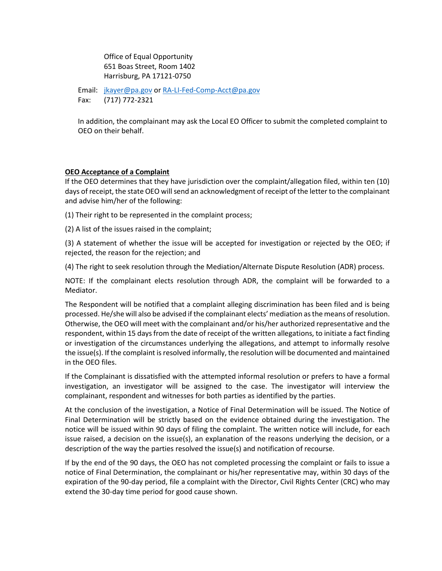Office of Equal Opportunity 651 Boas Street, Room 1402 Harrisburg, PA 17121-0750

Email: [jkayer@pa.gov](mailto:jkayer@pa.gov) o[r RA-LI-Fed-Comp-Acct@pa.gov](mailto:RA-LI-Fed-Comp-Acct@pa.gov) Fax: (717) 772-2321

In addition, the complainant may ask the Local EO Officer to submit the completed complaint to OEO on their behalf.

#### **OEO Acceptance of a Complaint**

If the OEO determines that they have jurisdiction over the complaint/allegation filed, within ten (10) days of receipt, the state OEO will send an acknowledgment of receipt of the letter to the complainant and advise him/her of the following:

(1) Their right to be represented in the complaint process;

(2) A list of the issues raised in the complaint;

(3) A statement of whether the issue will be accepted for investigation or rejected by the OEO; if rejected, the reason for the rejection; and

(4) The right to seek resolution through the Mediation/Alternate Dispute Resolution (ADR) process.

NOTE: If the complainant elects resolution through ADR, the complaint will be forwarded to a Mediator.

The Respondent will be notified that a complaint alleging discrimination has been filed and is being processed. He/she will also be advised if the complainant elects' mediation as the means of resolution. Otherwise, the OEO will meet with the complainant and/or his/her authorized representative and the respondent, within 15 days from the date of receipt of the written allegations, to initiate a fact finding or investigation of the circumstances underlying the allegations, and attempt to informally resolve the issue(s). If the complaint is resolved informally, the resolution will be documented and maintained in the OEO files.

If the Complainant is dissatisfied with the attempted informal resolution or prefers to have a formal investigation, an investigator will be assigned to the case. The investigator will interview the complainant, respondent and witnesses for both parties as identified by the parties.

At the conclusion of the investigation, a Notice of Final Determination will be issued. The Notice of Final Determination will be strictly based on the evidence obtained during the investigation. The notice will be issued within 90 days of filing the complaint. The written notice will include, for each issue raised, a decision on the issue(s), an explanation of the reasons underlying the decision, or a description of the way the parties resolved the issue(s) and notification of recourse.

If by the end of the 90 days, the OEO has not completed processing the complaint or fails to issue a notice of Final Determination, the complainant or his/her representative may, within 30 days of the expiration of the 90-day period, file a complaint with the Director, Civil Rights Center (CRC) who may extend the 30-day time period for good cause shown.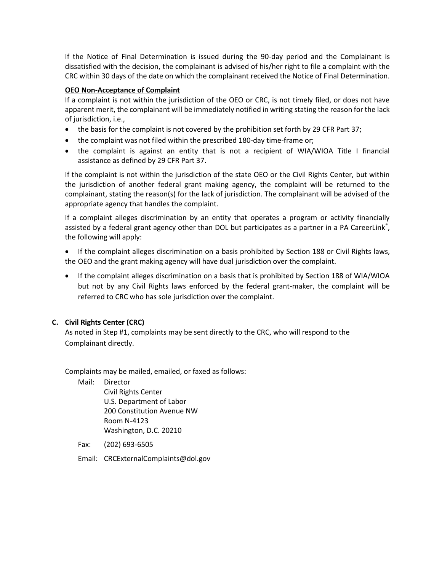If the Notice of Final Determination is issued during the 90-day period and the Complainant is dissatisfied with the decision, the complainant is advised of his/her right to file a complaint with the CRC within 30 days of the date on which the complainant received the Notice of Final Determination.

## **OEO Non-Acceptance of Complaint**

If a complaint is not within the jurisdiction of the OEO or CRC, is not timely filed, or does not have apparent merit, the complainant will be immediately notified in writing stating the reason for the lack of jurisdiction, i.e.,

- the basis for the complaint is not covered by the prohibition set forth by 29 CFR Part 37;
- the complaint was not filed within the prescribed 180-day time-frame or;
- the complaint is against an entity that is not a recipient of WIA/WIOA Title I financial assistance as defined by 29 CFR Part 37.

If the complaint is not within the jurisdiction of the state OEO or the Civil Rights Center, but within the jurisdiction of another federal grant making agency, the complaint will be returned to the complainant, stating the reason(s) for the lack of jurisdiction. The complainant will be advised of the appropriate agency that handles the complaint.

If a complaint alleges discrimination by an entity that operates a program or activity financially assisted by a federal grant agency other than DOL but participates as a partner in a PA CareerLink®, the following will apply:

 If the complaint alleges discrimination on a basis prohibited by Section 188 or Civil Rights laws, the OEO and the grant making agency will have dual jurisdiction over the complaint.

• If the complaint alleges discrimination on a basis that is prohibited by Section 188 of WIA/WIOA but not by any Civil Rights laws enforced by the federal grant-maker, the complaint will be referred to CRC who has sole jurisdiction over the complaint.

# **C. Civil Rights Center (CRC)**

As noted in Step #1, complaints may be sent directly to the CRC, who will respond to the Complainant directly.

Complaints may be mailed, emailed, or faxed as follows:

Mail: Director

Civil Rights Center U.S. Department of Labor 200 Constitution Avenue NW Room N-4123 Washington, D.C. 20210

Fax: (202) 693-6505

Email: CRCExternalComplaints@dol.gov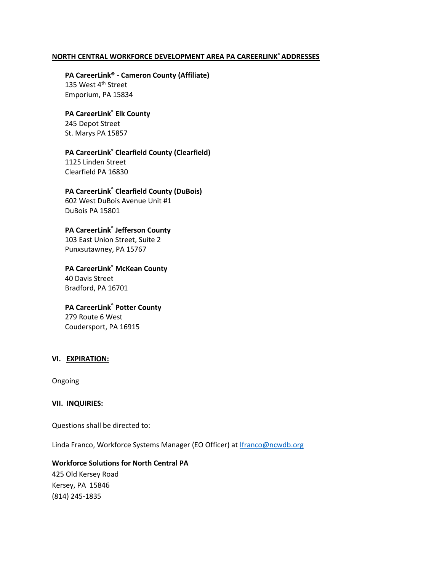# **NORTH CENTRAL WORKFORCE DEVELOPMENT AREA PA CAREERLINK®ADDRESSES**

**PA CareerLink® - Cameron County (Affiliate)** 135 West 4<sup>th</sup> Street Emporium, PA 15834

#### **PA CareerLink® Elk County**

245 Depot Street St. Marys PA 15857

#### **PA CareerLink® Clearfield County (Clearfield)**

1125 Linden Street Clearfield PA 16830

#### **PA CareerLink® Clearfield County (DuBois)**

602 West DuBois Avenue Unit #1 DuBois PA 15801

#### **PA CareerLink® Jefferson County**

103 East Union Street, Suite 2 Punxsutawney, PA 15767

**PA CareerLink® McKean County**  40 Davis Street Bradford, PA 16701

# **PA CareerLink® Potter County** 279 Route 6 West Coudersport, PA 16915

#### **VI. EXPIRATION:**

Ongoing

#### **VII. INQUIRIES:**

Questions shall be directed to:

Linda Franco, Workforce Systems Manager (EO Officer) at [lfranco@ncwdb.org](mailto:lfranco@ncwdb.org)

#### **Workforce Solutions for North Central PA**

425 Old Kersey Road Kersey, PA 15846 (814) 245-1835